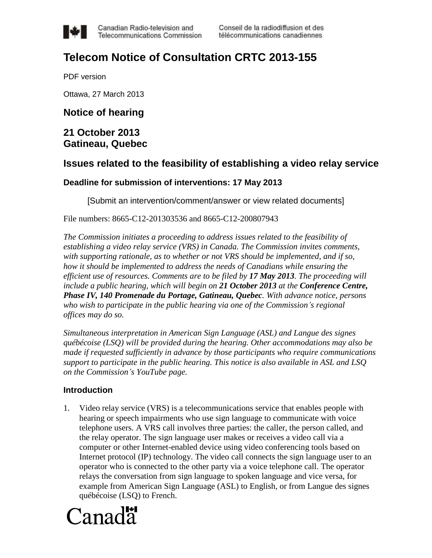

Canadian Radio-television and Telecommunications Commission

# **Telecom Notice of Consultation CRTC 2013-155**

PDF version

Ottawa, 27 March 2013

# **Notice of hearing**

# **21 October 2013 Gatineau, Quebec**

# **Issues related to the feasibility of establishing a video relay service**

#### **Deadline for submission of interventions: 17 May 2013**

[Submit an intervention/comment/answer or view related documents]

File numbers: 8665-C12-201303536 and 8665-C12-200807943

*The Commission initiates a proceeding to address issues related to the feasibility of establishing a video relay service (VRS) in Canada. The Commission invites comments, with supporting rationale, as to whether or not VRS should be implemented, and if so, how it should be implemented to address the needs of Canadians while ensuring the efficient use of resources. Comments are to be filed by 17 May 2013. The proceeding will include a public hearing, which will begin on 21 October 2013 at the Conference Centre, Phase IV, 140 Promenade du Portage, Gatineau, Quebec. With advance notice, persons who wish to participate in the public hearing via one of the Commission's regional offices may do so.*

*Simultaneous interpretation in American Sign Language (ASL) and Langue des signes québécoise (LSQ) will be provided during the hearing. Other accommodations may also be made if requested sufficiently in advance by those participants who require communications support to participate in the public hearing. This notice is also available in ASL and LSQ on the Commission's YouTube page.*

#### **Introduction**

1. Video relay service (VRS) is a telecommunications service that enables people with hearing or speech impairments who use sign language to communicate with voice telephone users. A VRS call involves three parties: the caller, the person called, and the relay operator. The sign language user makes or receives a video call via a computer or other Internet-enabled device using video conferencing tools based on Internet protocol (IP) technology. The video call connects the sign language user to an operator who is connected to the other party via a voice telephone call. The operator relays the conversation from sign language to spoken language and vice versa, for example from American Sign Language (ASL) to English, or from Langue des signes québécoise (LSQ) to French.

# Canada<sup>r</sup>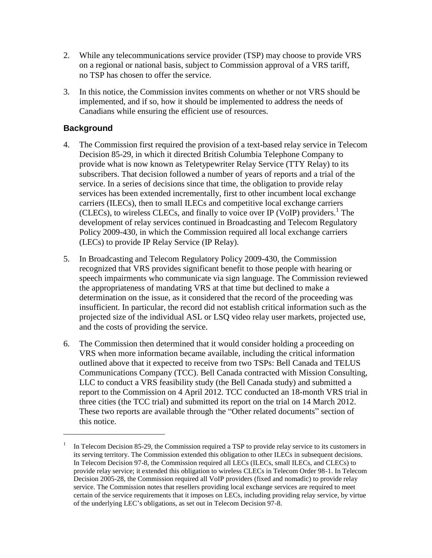- 2. While any telecommunications service provider (TSP) may choose to provide VRS on a regional or national basis, subject to Commission approval of a VRS tariff, no TSP has chosen to offer the service.
- 3. In this notice, the Commission invites comments on whether or not VRS should be implemented, and if so, how it should be implemented to address the needs of Canadians while ensuring the efficient use of resources.

# **Background**

- 4. The Commission first required the provision of a text-based relay service in Telecom Decision 85-29, in which it directed British Columbia Telephone Company to provide what is now known as Teletypewriter Relay Service (TTY Relay) to its subscribers. That decision followed a number of years of reports and a trial of the service. In a series of decisions since that time, the obligation to provide relay services has been extended incrementally, first to other incumbent local exchange carriers (ILECs), then to small ILECs and competitive local exchange carriers (CLECs), to wireless CLECs, and finally to voice over IP (VoIP) providers.<sup>1</sup> The development of relay services continued in Broadcasting and Telecom Regulatory Policy 2009-430, in which the Commission required all local exchange carriers (LECs) to provide IP Relay Service (IP Relay).
- 5. In Broadcasting and Telecom Regulatory Policy 2009-430, the Commission recognized that VRS provides significant benefit to those people with hearing or speech impairments who communicate via sign language. The Commission reviewed the appropriateness of mandating VRS at that time but declined to make a determination on the issue, as it considered that the record of the proceeding was insufficient. In particular, the record did not establish critical information such as the projected size of the individual ASL or LSQ video relay user markets, projected use, and the costs of providing the service.
- 6. The Commission then determined that it would consider holding a proceeding on VRS when more information became available, including the critical information outlined above that it expected to receive from two TSPs: Bell Canada and TELUS Communications Company (TCC). Bell Canada contracted with Mission Consulting, LLC to conduct a VRS feasibility study (the Bell Canada study) and submitted a report to the Commission on 4 April 2012. TCC conducted an 18-month VRS trial in three cities (the TCC trial) and submitted its report on the trial on 14 March 2012. These two reports are available through the "Other related documents" section of this notice.

<sup>1</sup> In Telecom Decision 85-29, the Commission required a TSP to provide relay service to its customers in its serving territory. The Commission extended this obligation to other ILECs in subsequent decisions. In Telecom Decision 97-8, the Commission required all LECs (ILECs, small ILECs, and CLECs) to provide relay service; it extended this obligation to wireless CLECs in Telecom Order 98-1. In Telecom Decision 2005-28, the Commission required all VoIP providers (fixed and nomadic) to provide relay service. The Commission notes that resellers providing local exchange services are required to meet certain of the service requirements that it imposes on LECs, including providing relay service, by virtue of the underlying LEC's obligations, as set out in Telecom Decision 97-8.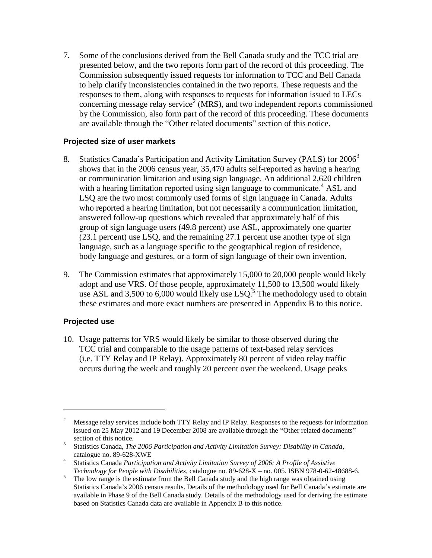7. Some of the conclusions derived from the Bell Canada study and the TCC trial are presented below, and the two reports form part of the record of this proceeding. The Commission subsequently issued requests for information to TCC and Bell Canada to help clarify inconsistencies contained in the two reports. These requests and the responses to them, along with responses to requests for information issued to LECs concerning message relay service<sup>2</sup> (MRS), and two independent reports commissioned by the Commission, also form part of the record of this proceeding. These documents are available through the "Other related documents" section of this notice.

#### **Projected size of user markets**

- 8. Statistics Canada's Participation and Activity Limitation Survey (PALS) for 2006<sup>3</sup> shows that in the 2006 census year, 35,470 adults self-reported as having a hearing or communication limitation and using sign language. An additional 2,620 children with a hearing limitation reported using sign language to communicate.<sup>4</sup> ASL and LSQ are the two most commonly used forms of sign language in Canada. Adults who reported a hearing limitation, but not necessarily a communication limitation, answered follow-up questions which revealed that approximately half of this group of sign language users (49.8 percent) use ASL, approximately one quarter (23.1 percent) use LSQ, and the remaining 27.1 percent use another type of sign language, such as a language specific to the geographical region of residence, body language and gestures, or a form of sign language of their own invention.
- 9. The Commission estimates that approximately 15,000 to 20,000 people would likely adopt and use VRS. Of those people, approximately 11,500 to 13,500 would likely use ASL and 3,500 to 6,000 would likely use  $LSQ$ .<sup>5</sup> The methodology used to obtain these estimates and more exact numbers are presented in Appendix B to this notice.

#### **Projected use**

 $\overline{a}$ 

10. Usage patterns for VRS would likely be similar to those observed during the TCC trial and comparable to the usage patterns of text-based relay services (i.e. TTY Relay and IP Relay). Approximately 80 percent of video relay traffic occurs during the week and roughly 20 percent over the weekend. Usage peaks

<sup>2</sup> Message relay services include both TTY Relay and IP Relay. Responses to the requests for information issued on 25 May 2012 and 19 December 2008 are available through the "Other related documents" section of this notice.

<sup>3</sup> Statistics Canada, *The 2006 Participation and Activity Limitation Survey: Disability in Canada*, catalogue no. 89-628-XWE

<sup>4</sup> Statistics Canada *Participation and Activity Limitation Survey of 2006: A Profile of Assistive Technology for People with Disabilities*, catalogue no. 89-628-X – no. 005. ISBN 978-0-62-48688-6.

 $\frac{5}{\sqrt{5}}$  The low range is the estimate from the Bell Canada study and the high range was obtained using Statistics Canada's 2006 census results. Details of the methodology used for Bell Canada's estimate are available in Phase 9 of the Bell Canada study. Details of the methodology used for deriving the estimate based on Statistics Canada data are available in Appendix B to this notice.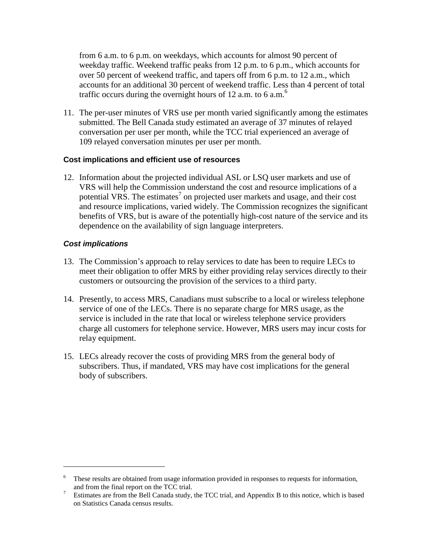from 6 a.m. to 6 p.m. on weekdays, which accounts for almost 90 percent of weekday traffic. Weekend traffic peaks from 12 p.m. to 6 p.m., which accounts for over 50 percent of weekend traffic, and tapers off from 6 p.m. to 12 a.m., which accounts for an additional 30 percent of weekend traffic. Less than 4 percent of total traffic occurs during the overnight hours of 12 a.m. to 6 a.m. $<sup>6</sup>$ </sup>

11. The per-user minutes of VRS use per month varied significantly among the estimates submitted. The Bell Canada study estimated an average of 37 minutes of relayed conversation per user per month, while the TCC trial experienced an average of 109 relayed conversation minutes per user per month.

#### **Cost implications and efficient use of resources**

12. Information about the projected individual ASL or LSQ user markets and use of VRS will help the Commission understand the cost and resource implications of a potential VRS. The estimates<sup>7</sup> on projected user markets and usage, and their cost and resource implications, varied widely. The Commission recognizes the significant benefits of VRS, but is aware of the potentially high-cost nature of the service and its dependence on the availability of sign language interpreters.

#### *Cost implications*

- 13. The Commission's approach to relay services to date has been to require LECs to meet their obligation to offer MRS by either providing relay services directly to their customers or outsourcing the provision of the services to a third party.
- 14. Presently, to access MRS, Canadians must subscribe to a local or wireless telephone service of one of the LECs. There is no separate charge for MRS usage, as the service is included in the rate that local or wireless telephone service providers charge all customers for telephone service. However, MRS users may incur costs for relay equipment.
- 15. LECs already recover the costs of providing MRS from the general body of subscribers. Thus, if mandated, VRS may have cost implications for the general body of subscribers.

<sup>&</sup>lt;sup>6</sup> These results are obtained from usage information provided in responses to requests for information, and from the final report on the TCC trial.

<sup>&</sup>lt;sup>7</sup> Estimates are from the Bell Canada study, the TCC trial, and Appendix B to this notice, which is based on Statistics Canada census results.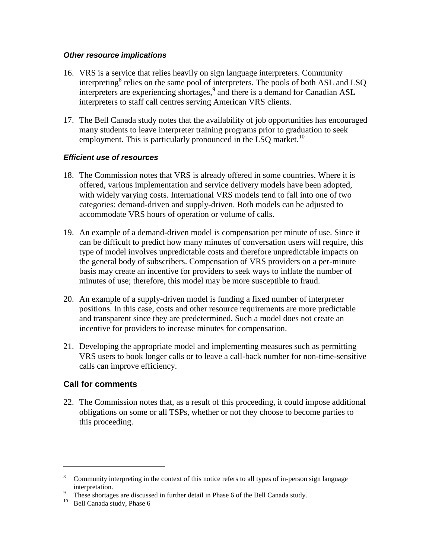#### *Other resource implications*

- 16. VRS is a service that relies heavily on sign language interpreters. Community interpreting<sup>8</sup> relies on the same pool of interpreters. The pools of both ASL and LSQ interpreters are experiencing shortages, 9 and there is a demand for Canadian ASL interpreters to staff call centres serving American VRS clients.
- 17. The Bell Canada study notes that the availability of job opportunities has encouraged many students to leave interpreter training programs prior to graduation to seek employment. This is particularly pronounced in the LSQ market.<sup>10</sup>

#### *Efficient use of resources*

- 18. The Commission notes that VRS is already offered in some countries. Where it is offered, various implementation and service delivery models have been adopted, with widely varying costs. International VRS models tend to fall into one of two categories: demand-driven and supply-driven. Both models can be adjusted to accommodate VRS hours of operation or volume of calls.
- 19. An example of a demand-driven model is compensation per minute of use. Since it can be difficult to predict how many minutes of conversation users will require, this type of model involves unpredictable costs and therefore unpredictable impacts on the general body of subscribers. Compensation of VRS providers on a per-minute basis may create an incentive for providers to seek ways to inflate the number of minutes of use; therefore, this model may be more susceptible to fraud.
- 20. An example of a supply-driven model is funding a fixed number of interpreter positions. In this case, costs and other resource requirements are more predictable and transparent since they are predetermined. Such a model does not create an incentive for providers to increase minutes for compensation.
- 21. Developing the appropriate model and implementing measures such as permitting VRS users to book longer calls or to leave a call-back number for non-time-sensitive calls can improve efficiency.

#### **Call for comments**

22. The Commission notes that, as a result of this proceeding, it could impose additional obligations on some or all TSPs, whether or not they choose to become parties to this proceeding.

<sup>&</sup>lt;sup>8</sup> Community interpreting in the context of this notice refers to all types of in-person sign language interpretation.

<sup>9</sup> These shortages are discussed in further detail in Phase 6 of the Bell Canada study.

<sup>&</sup>lt;sup>10</sup> Bell Canada study, Phase 6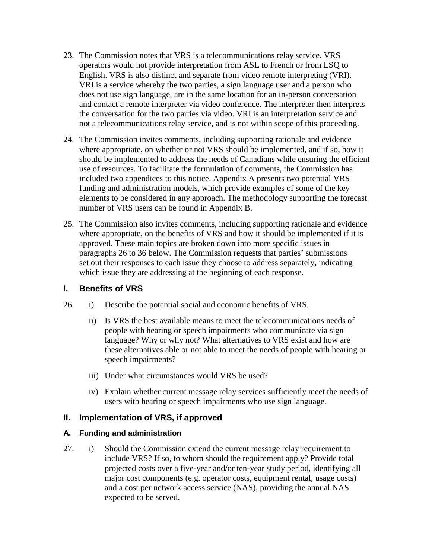- 23. The Commission notes that VRS is a telecommunications relay service. VRS operators would not provide interpretation from ASL to French or from LSQ to English. VRS is also distinct and separate from video remote interpreting (VRI). VRI is a service whereby the two parties, a sign language user and a person who does not use sign language, are in the same location for an in-person conversation and contact a remote interpreter via video conference. The interpreter then interprets the conversation for the two parties via video. VRI is an interpretation service and not a telecommunications relay service, and is not within scope of this proceeding.
- 24. The Commission invites comments, including supporting rationale and evidence where appropriate, on whether or not VRS should be implemented, and if so, how it should be implemented to address the needs of Canadians while ensuring the efficient use of resources. To facilitate the formulation of comments, the Commission has included two appendices to this notice. Appendix A presents two potential VRS funding and administration models, which provide examples of some of the key elements to be considered in any approach. The methodology supporting the forecast number of VRS users can be found in Appendix B.
- 25. The Commission also invites comments, including supporting rationale and evidence where appropriate, on the benefits of VRS and how it should be implemented if it is approved. These main topics are broken down into more specific issues in paragraphs 26 to 36 below. The Commission requests that parties' submissions set out their responses to each issue they choose to address separately, indicating which issue they are addressing at the beginning of each response.

#### **I. Benefits of VRS**

- 26. i) Describe the potential social and economic benefits of VRS.
	- ii) Is VRS the best available means to meet the telecommunications needs of people with hearing or speech impairments who communicate via sign language? Why or why not? What alternatives to VRS exist and how are these alternatives able or not able to meet the needs of people with hearing or speech impairments?
	- iii) Under what circumstances would VRS be used?
	- iv) Explain whether current message relay services sufficiently meet the needs of users with hearing or speech impairments who use sign language.

#### **II. Implementation of VRS, if approved**

#### **A. Funding and administration**

27. i) Should the Commission extend the current message relay requirement to include VRS? If so, to whom should the requirement apply? Provide total projected costs over a five-year and/or ten-year study period, identifying all major cost components (e.g. operator costs, equipment rental, usage costs) and a cost per network access service (NAS), providing the annual NAS expected to be served.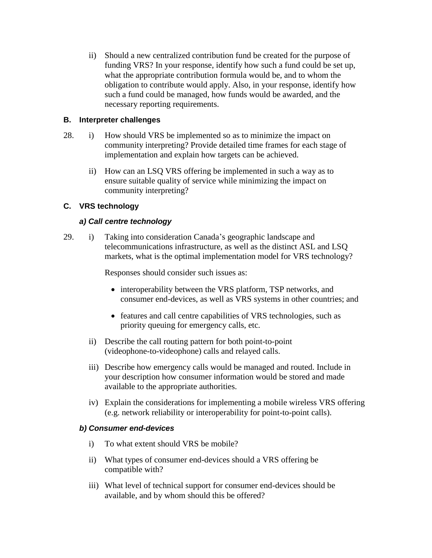ii) Should a new centralized contribution fund be created for the purpose of funding VRS? In your response, identify how such a fund could be set up, what the appropriate contribution formula would be, and to whom the obligation to contribute would apply. Also, in your response, identify how such a fund could be managed, how funds would be awarded, and the necessary reporting requirements.

#### **B. Interpreter challenges**

- 28. i) How should VRS be implemented so as to minimize the impact on community interpreting? Provide detailed time frames for each stage of implementation and explain how targets can be achieved.
	- ii) How can an LSQ VRS offering be implemented in such a way as to ensure suitable quality of service while minimizing the impact on community interpreting?

#### **C. VRS technology**

#### *a) Call centre technology*

29. i) Taking into consideration Canada's geographic landscape and telecommunications infrastructure, as well as the distinct ASL and LSQ markets, what is the optimal implementation model for VRS technology?

Responses should consider such issues as:

- interoperability between the VRS platform, TSP networks, and consumer end-devices, as well as VRS systems in other countries; and
- features and call centre capabilities of VRS technologies, such as priority queuing for emergency calls, etc.
- ii) Describe the call routing pattern for both point-to-point (videophone-to-videophone) calls and relayed calls.
- iii) Describe how emergency calls would be managed and routed. Include in your description how consumer information would be stored and made available to the appropriate authorities.
- iv) Explain the considerations for implementing a mobile wireless VRS offering (e.g. network reliability or interoperability for point-to-point calls).

#### *b) Consumer end-devices*

- i) To what extent should VRS be mobile?
- ii) What types of consumer end-devices should a VRS offering be compatible with?
- iii) What level of technical support for consumer end-devices should be available, and by whom should this be offered?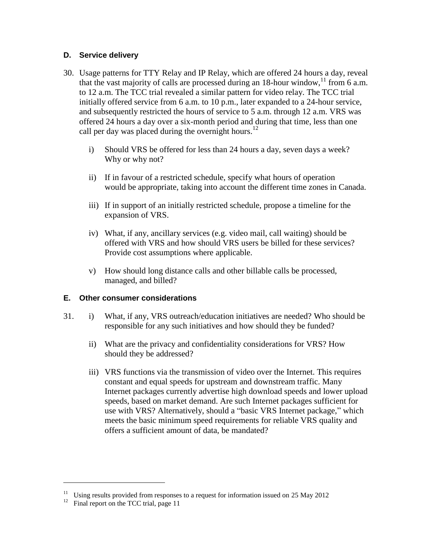#### **D. Service delivery**

- 30. Usage patterns for TTY Relay and IP Relay, which are offered 24 hours a day, reveal that the vast majority of calls are processed during an  $18$ -hour window,<sup>11</sup> from 6 a.m. to 12 a.m. The TCC trial revealed a similar pattern for video relay. The TCC trial initially offered service from 6 a.m. to 10 p.m., later expanded to a 24-hour service, and subsequently restricted the hours of service to 5 a.m. through 12 a.m. VRS was offered 24 hours a day over a six-month period and during that time, less than one call per day was placed during the overnight hours.<sup>12</sup>
	- i) Should VRS be offered for less than 24 hours a day, seven days a week? Why or why not?
	- ii) If in favour of a restricted schedule, specify what hours of operation would be appropriate, taking into account the different time zones in Canada.
	- iii) If in support of an initially restricted schedule, propose a timeline for the expansion of VRS.
	- iv) What, if any, ancillary services (e.g. video mail, call waiting) should be offered with VRS and how should VRS users be billed for these services? Provide cost assumptions where applicable.
	- v) How should long distance calls and other billable calls be processed, managed, and billed?

#### **E. Other consumer considerations**

- 31. i) What, if any, VRS outreach/education initiatives are needed? Who should be responsible for any such initiatives and how should they be funded?
	- ii) What are the privacy and confidentiality considerations for VRS? How should they be addressed?
	- iii) VRS functions via the transmission of video over the Internet. This requires constant and equal speeds for upstream and downstream traffic. Many Internet packages currently advertise high download speeds and lower upload speeds, based on market demand. Are such Internet packages sufficient for use with VRS? Alternatively, should a "basic VRS Internet package," which meets the basic minimum speed requirements for reliable VRS quality and offers a sufficient amount of data, be mandated?

<sup>&</sup>lt;sup>11</sup> Using results provided from responses to a request for information issued on 25 May 2012

Final report on the TCC trial, page 11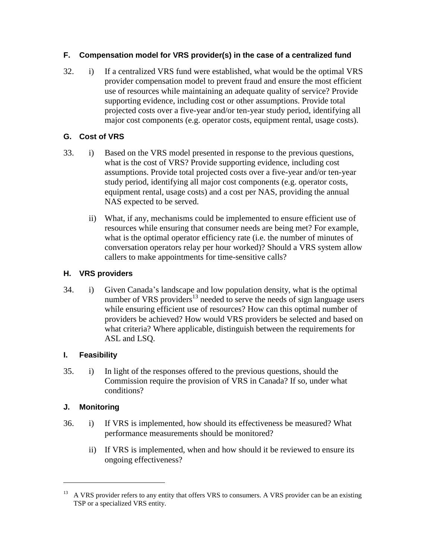#### **F. Compensation model for VRS provider(s) in the case of a centralized fund**

32. i) If a centralized VRS fund were established, what would be the optimal VRS provider compensation model to prevent fraud and ensure the most efficient use of resources while maintaining an adequate quality of service? Provide supporting evidence, including cost or other assumptions. Provide total projected costs over a five-year and/or ten-year study period, identifying all major cost components (e.g. operator costs, equipment rental, usage costs).

## **G. Cost of VRS**

- 33. i) Based on the VRS model presented in response to the previous questions, what is the cost of VRS? Provide supporting evidence, including cost assumptions. Provide total projected costs over a five-year and/or ten-year study period, identifying all major cost components (e.g. operator costs, equipment rental, usage costs) and a cost per NAS, providing the annual NAS expected to be served.
	- ii) What, if any, mechanisms could be implemented to ensure efficient use of resources while ensuring that consumer needs are being met? For example, what is the optimal operator efficiency rate (i.e. the number of minutes of conversation operators relay per hour worked)? Should a VRS system allow callers to make appointments for time-sensitive calls?

#### **H. VRS providers**

34. i) Given Canada's landscape and low population density, what is the optimal number of VRS providers<sup>13</sup> needed to serve the needs of sign language users while ensuring efficient use of resources? How can this optimal number of providers be achieved? How would VRS providers be selected and based on what criteria? Where applicable, distinguish between the requirements for ASL and LSQ.

#### **I. Feasibility**

35. i) In light of the responses offered to the previous questions, should the Commission require the provision of VRS in Canada? If so, under what conditions?

# **J. Monitoring**

- 36. i) If VRS is implemented, how should its effectiveness be measured? What performance measurements should be monitored?
	- ii) If VRS is implemented, when and how should it be reviewed to ensure its ongoing effectiveness?

 $13$  A VRS provider refers to any entity that offers VRS to consumers. A VRS provider can be an existing TSP or a specialized VRS entity.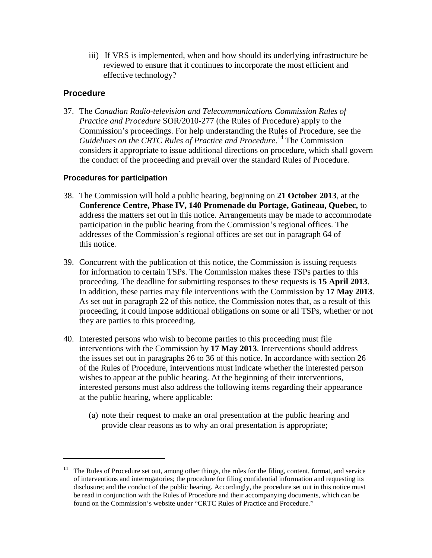iii) If VRS is implemented, when and how should its underlying infrastructure be reviewed to ensure that it continues to incorporate the most efficient and effective technology?

#### **Procedure**

 $\overline{a}$ 

37. The *Canadian Radio-television and Telecommunications Commission Rules of Practice and Procedure* SOR/2010-277 (the Rules of Procedure) apply to the Commission's proceedings. For help understanding the Rules of Procedure, see the *Guidelines on the CRTC Rules of Practice and Procedure*. <sup>14</sup> The Commission considers it appropriate to issue additional directions on procedure, which shall govern the conduct of the proceeding and prevail over the standard Rules of Procedure.

#### **Procedures for participation**

- 38. The Commission will hold a public hearing, beginning on **21 October 2013**, at the **Conference Centre, Phase IV, 140 Promenade du Portage, Gatineau, Quebec,** to address the matters set out in this notice. Arrangements may be made to accommodate participation in the public hearing from the Commission's regional offices. The addresses of the Commission's regional offices are set out in paragraph 64 of this notice*.*
- 39. Concurrent with the publication of this notice, the Commission is issuing requests for information to certain TSPs. The Commission makes these TSPs parties to this proceeding. The deadline for submitting responses to these requests is **15 April 2013**. In addition, these parties may file interventions with the Commission by **17 May 2013**. As set out in paragraph 22 of this notice, the Commission notes that, as a result of this proceeding, it could impose additional obligations on some or all TSPs, whether or not they are parties to this proceeding.
- 40. Interested persons who wish to become parties to this proceeding must file interventions with the Commission by **17 May 2013**. Interventions should address the issues set out in paragraphs 26 to 36 of this notice. In accordance with section 26 of the Rules of Procedure, interventions must indicate whether the interested person wishes to appear at the public hearing. At the beginning of their interventions, interested persons must also address the following items regarding their appearance at the public hearing, where applicable:
	- (a) note their request to make an oral presentation at the public hearing and provide clear reasons as to why an oral presentation is appropriate;

<sup>&</sup>lt;sup>14</sup> The Rules of Procedure set out, among other things, the rules for the filing, content, format, and service of interventions and interrogatories; the procedure for filing confidential information and requesting its disclosure; and the conduct of the public hearing. Accordingly, the procedure set out in this notice must be read in conjunction with the Rules of Procedure and their accompanying documents, which can be found on the Commission's website under "CRTC Rules of Practice and Procedure."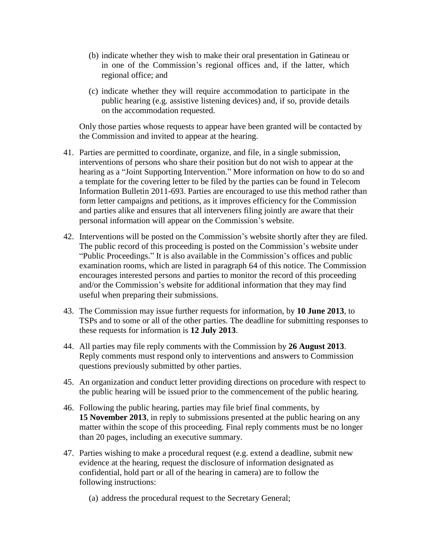- (b) indicate whether they wish to make their oral presentation in Gatineau or in one of the Commission's regional offices and, if the latter, which regional office; and
- (c) indicate whether they will require accommodation to participate in the public hearing (e.g. assistive listening devices) and, if so, provide details on the accommodation requested.

Only those parties whose requests to appear have been granted will be contacted by the Commission and invited to appear at the hearing.

- 41. Parties are permitted to coordinate, organize, and file, in a single submission, interventions of persons who share their position but do not wish to appear at the hearing as a "Joint Supporting Intervention." More information on how to do so and a template for the covering letter to be filed by the parties can be found in Telecom Information Bulletin 2011-693. Parties are encouraged to use this method rather than form letter campaigns and petitions, as it improves efficiency for the Commission and parties alike and ensures that all interveners filing jointly are aware that their personal information will appear on the Commission's website.
- 42. Interventions will be posted on the Commission's website shortly after they are filed. The public record of this proceeding is posted on the Commission's website under "Public Proceedings." It is also available in the Commission's offices and public examination rooms, which are listed in paragraph 64 of this notice. The Commission encourages interested persons and parties to monitor the record of this proceeding and/or the Commission's website for additional information that they may find useful when preparing their submissions.
- 43. The Commission may issue further requests for information, by **10 June 2013**, to TSPs and to some or all of the other parties. The deadline for submitting responses to these requests for information is **12 July 2013**.
- 44. All parties may file reply comments with the Commission by **26 August 2013**. Reply comments must respond only to interventions and answers to Commission questions previously submitted by other parties.
- 45. An organization and conduct letter providing directions on procedure with respect to the public hearing will be issued prior to the commencement of the public hearing.
- 46. Following the public hearing, parties may file brief final comments, by **15 November 2013**, in reply to submissions presented at the public hearing on any matter within the scope of this proceeding. Final reply comments must be no longer than 20 pages, including an executive summary.
- 47. Parties wishing to make a procedural request (e.g. extend a deadline, submit new evidence at the hearing, request the disclosure of information designated as confidential, hold part or all of the hearing in camera) are to follow the following instructions:
	- (a) address the procedural request to the Secretary General;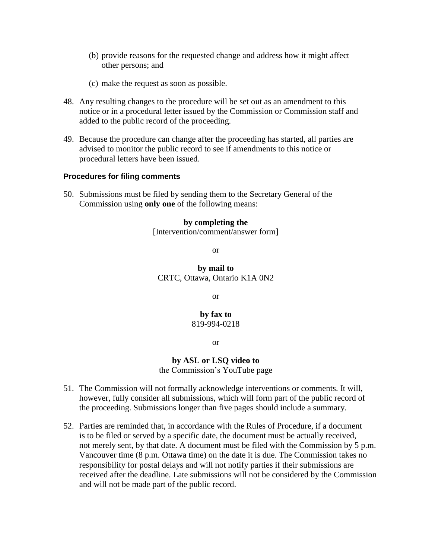- (b) provide reasons for the requested change and address how it might affect other persons; and
- (c) make the request as soon as possible.
- 48. Any resulting changes to the procedure will be set out as an amendment to this notice or in a procedural letter issued by the Commission or Commission staff and added to the public record of the proceeding.
- 49. Because the procedure can change after the proceeding has started, all parties are advised to monitor the public record to see if amendments to this notice or procedural letters have been issued.

#### **Procedures for filing comments**

50. Submissions must be filed by sending them to the Secretary General of the Commission using **only one** of the following means:

#### **by completing the**

[Intervention/comment/answer form]

or

#### **by mail to** CRTC, Ottawa, Ontario K1A 0N2

or

**by fax to** 819-994-0218

or

# **by ASL or LSQ video to**

the Commission's YouTube page

- 51. The Commission will not formally acknowledge interventions or comments. It will, however, fully consider all submissions, which will form part of the public record of the proceeding. Submissions longer than five pages should include a summary.
- 52. Parties are reminded that, in accordance with the Rules of Procedure, if a document is to be filed or served by a specific date, the document must be actually received, not merely sent, by that date. A document must be filed with the Commission by 5 p.m. Vancouver time (8 p.m. Ottawa time) on the date it is due. The Commission takes no responsibility for postal delays and will not notify parties if their submissions are received after the deadline. Late submissions will not be considered by the Commission and will not be made part of the public record.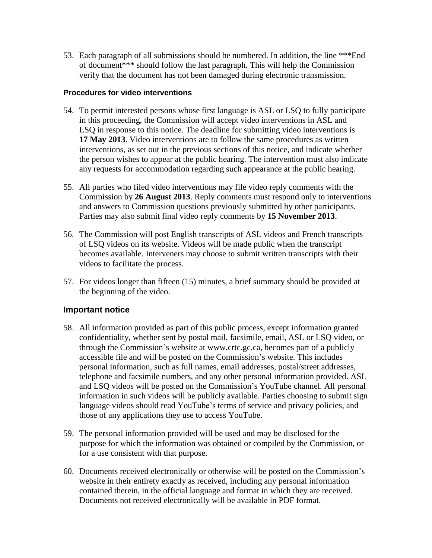53. Each paragraph of all submissions should be numbered. In addition, the line \*\*\*End of document\*\*\* should follow the last paragraph. This will help the Commission verify that the document has not been damaged during electronic transmission.

#### **Procedures for video interventions**

- 54. To permit interested persons whose first language is ASL or LSQ to fully participate in this proceeding, the Commission will accept video interventions in ASL and LSQ in response to this notice. The deadline for submitting video interventions is **17 May 2013**. Video interventions are to follow the same procedures as written interventions, as set out in the previous sections of this notice, and indicate whether the person wishes to appear at the public hearing. The intervention must also indicate any requests for accommodation regarding such appearance at the public hearing.
- 55. All parties who filed video interventions may file video reply comments with the Commission by **26 August 2013**. Reply comments must respond only to interventions and answers to Commission questions previously submitted by other participants. Parties may also submit final video reply comments by **15 November 2013**.
- 56. The Commission will post English transcripts of ASL videos and French transcripts of LSQ videos on its website. Videos will be made public when the transcript becomes available. Interveners may choose to submit written transcripts with their videos to facilitate the process.
- 57. For videos longer than fifteen (15) minutes, a brief summary should be provided at the beginning of the video.

#### **Important notice**

- 58. All information provided as part of this public process, except information granted confidentiality, whether sent by postal mail, facsimile, email, ASL or LSQ video, or through the Commission's website at www.crtc.gc.ca, becomes part of a publicly accessible file and will be posted on the Commission's website. This includes personal information, such as full names, email addresses, postal/street addresses, telephone and facsimile numbers, and any other personal information provided. ASL and LSQ videos will be posted on the Commission's YouTube channel. All personal information in such videos will be publicly available. Parties choosing to submit sign language videos should read YouTube's terms of service and privacy policies, and those of any applications they use to access YouTube.
- 59. The personal information provided will be used and may be disclosed for the purpose for which the information was obtained or compiled by the Commission, or for a use consistent with that purpose.
- 60. Documents received electronically or otherwise will be posted on the Commission's website in their entirety exactly as received, including any personal information contained therein, in the official language and format in which they are received. Documents not received electronically will be available in PDF format.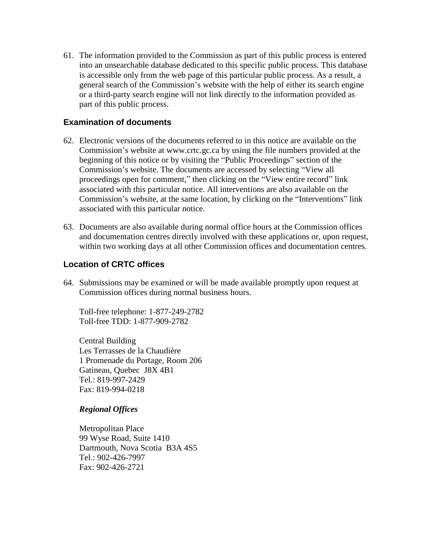61. The information provided to the Commission as part of this public process is entered into an unsearchable database dedicated to this specific public process. This database is accessible only from the web page of this particular public process. As a result, a general search of the Commission's website with the help of either its search engine or a third-party search engine will not link directly to the information provided as part of this public process.

#### **Examination of documents**

- 62. Electronic versions of the documents referred to in this notice are available on the Commission's website at www.crtc.gc.ca by using the file numbers provided at the beginning of this notice or by visiting the "Public Proceedings" section of the Commission's website. The documents are accessed by selecting "View all proceedings open for comment," then clicking on the "View entire record" link associated with this particular notice. All interventions are also available on the Commission's website, at the same location, by clicking on the "Interventions" link associated with this particular notice.
- 63. Documents are also available during normal office hours at the Commission offices and documentation centres directly involved with these applications or, upon request, within two working days at all other Commission offices and documentation centres.

#### **Location of CRTC offices**

64. Submissions may be examined or will be made available promptly upon request at Commission offices during normal business hours.

Toll-free telephone: 1-877-249-2782 Toll-free TDD: 1-877-909-2782

Central Building Les Terrasses de la Chaudière 1 Promenade du Portage, Room 206 Gatineau, Quebec J8X 4B1 Tel.: 819-997-2429 Fax: 819-994-0218

#### *Regional Offices*

Metropolitan Place 99 Wyse Road, Suite 1410 Dartmouth, Nova Scotia B3A 4S5 Tel.: 902-426-7997 Fax: 902-426-2721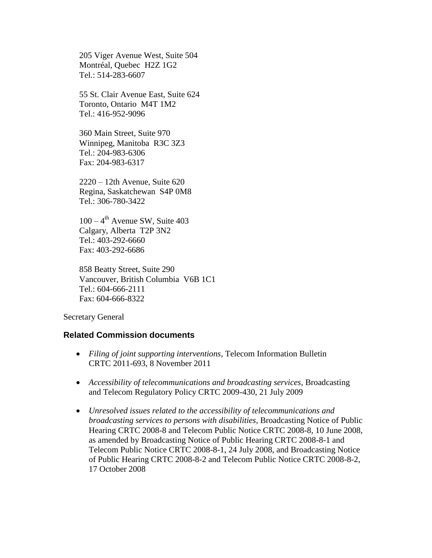205 Viger Avenue West, Suite 504 Montréal, Quebec H2Z 1G2 Tel.: 514-283-6607

55 St. Clair Avenue East, Suite 624 Toronto, Ontario M4T 1M2 Tel.: 416-952-9096

360 Main Street, Suite 970 Winnipeg, Manitoba R3C 3Z3 Tel.: 204-983-6306 Fax: 204-983-6317

2220 – 12th Avenue, Suite 620 Regina, Saskatchewan S4P 0M8 Tel.: 306-780-3422

 $100 - 4$ <sup>th</sup> Avenue SW, Suite 403 Calgary, Alberta T2P 3N2 Tel.: 403-292-6660 Fax: 403-292-6686

858 Beatty Street, Suite 290 Vancouver, British Columbia V6B 1C1 Tel.: 604-666-2111 Fax: 604-666-8322

Secretary General

#### **Related Commission documents**

- *Filing of joint supporting interventions*, Telecom Information Bulletin CRTC 2011-693, 8 November 2011
- *Accessibility of telecommunications and broadcasting services*, Broadcasting and Telecom Regulatory Policy CRTC 2009-430, 21 July 2009
- *Unresolved issues related to the accessibility of telecommunications and broadcasting services to persons with disabilities*, Broadcasting Notice of Public Hearing CRTC 2008-8 and Telecom Public Notice CRTC 2008-8, 10 June 2008, as amended by Broadcasting Notice of Public Hearing CRTC 2008-8-1 and Telecom Public Notice CRTC 2008-8-1, 24 July 2008, and Broadcasting Notice of Public Hearing CRTC 2008-8-2 and Telecom Public Notice CRTC 2008-8-2, 17 October 2008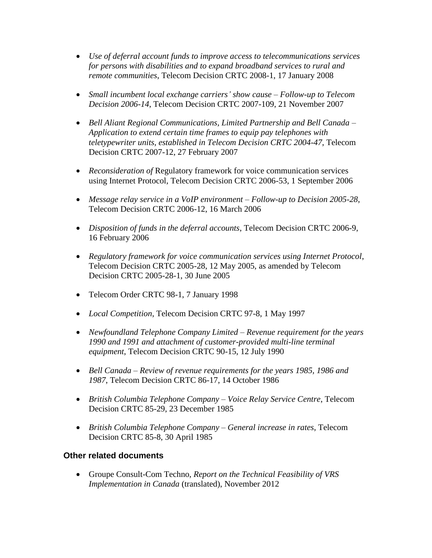- *Use of deferral account funds to improve access to telecommunications services for persons with disabilities and to expand broadband services to rural and remote communities*, Telecom Decision CRTC 2008-1, 17 January 2008
- *Small incumbent local exchange carriers' show cause – Follow-up to Telecom Decision 2006-14*, Telecom Decision CRTC 2007-109, 21 November 2007
- *Bell Aliant Regional Communications, Limited Partnership and Bell Canada – Application to extend certain time frames to equip pay telephones with teletypewriter units, established in Telecom Decision CRTC 2004-47*, Telecom Decision CRTC 2007-12, 27 February 2007
- *Reconsideration of* Regulatory framework for voice communication services using Internet Protocol, Telecom Decision CRTC 2006-53, 1 September 2006
- *Message relay service in a VoIP environment – Follow-up to Decision 2005-28*, Telecom Decision CRTC 2006-12, 16 March 2006
- *Disposition of funds in the deferral accounts*, Telecom Decision CRTC 2006-9, 16 February 2006
- *Regulatory framework for voice communication services using Internet Protocol*, Telecom Decision CRTC 2005-28, 12 May 2005, as amended by Telecom Decision CRTC 2005-28-1, 30 June 2005
- Telecom Order CRTC 98-1, 7 January 1998
- *Local Competition*, Telecom Decision CRTC 97-8, 1 May 1997
- *Newfoundland Telephone Company Limited – Revenue requirement for the years 1990 and 1991 and attachment of customer-provided multi-line terminal equipment*, Telecom Decision CRTC 90-15, 12 July 1990
- *Bell Canada – Review of revenue requirements for the years 1985, 1986 and 1987*, Telecom Decision CRTC 86-17, 14 October 1986
- *British Columbia Telephone Company – Voice Relay Service Centre*, Telecom Decision CRTC 85-29, 23 December 1985
- *British Columbia Telephone Company – General increase in rates*, Telecom Decision CRTC 85-8, 30 April 1985

# **Other related documents**

 Groupe Consult-Com Techno, *Report on the Technical Feasibility of VRS Implementation in Canada* (translated), November 2012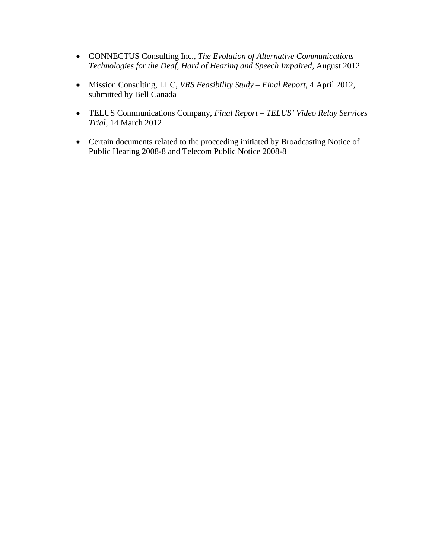- CONNECTUS Consulting Inc., *The Evolution of Alternative Communications Technologies for the Deaf, Hard of Hearing and Speech Impaired*, August 2012
- Mission Consulting, LLC, *VRS Feasibility Study – Final Report*, 4 April 2012, submitted by Bell Canada
- TELUS Communications Company, *Final Report – TELUS' Video Relay Services Trial*, 14 March 2012
- Certain documents related to the proceeding initiated by Broadcasting Notice of Public Hearing 2008-8 and Telecom Public Notice 2008-8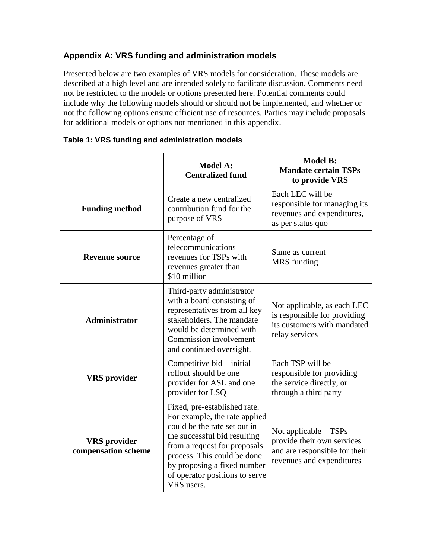# **Appendix A: VRS funding and administration models**

Presented below are two examples of VRS models for consideration. These models are described at a high level and are intended solely to facilitate discussion. Comments need not be restricted to the models or options presented here. Potential comments could include why the following models should or should not be implemented, and whether or not the following options ensure efficient use of resources. Parties may include proposals for additional models or options not mentioned in this appendix.

|                                            | <b>Model A:</b><br><b>Centralized fund</b>                                                                                                                                                                                                                                  | <b>Model B:</b><br><b>Mandate certain TSPs</b><br>to provide VRS                                                  |
|--------------------------------------------|-----------------------------------------------------------------------------------------------------------------------------------------------------------------------------------------------------------------------------------------------------------------------------|-------------------------------------------------------------------------------------------------------------------|
| <b>Funding method</b>                      | Create a new centralized<br>contribution fund for the<br>purpose of VRS                                                                                                                                                                                                     | Each LEC will be<br>responsible for managing its<br>revenues and expenditures,<br>as per status quo               |
| <b>Revenue source</b>                      | Percentage of<br>telecommunications<br>revenues for TSPs with<br>revenues greater than<br>\$10 million                                                                                                                                                                      | Same as current<br>MRS funding                                                                                    |
| <b>Administrator</b>                       | Third-party administrator<br>with a board consisting of<br>representatives from all key<br>stakeholders. The mandate<br>would be determined with<br>Commission involvement<br>and continued oversight.                                                                      | Not applicable, as each LEC<br>is responsible for providing<br>its customers with mandated<br>relay services      |
| <b>VRS</b> provider                        | Competitive bid – initial<br>rollout should be one<br>provider for ASL and one<br>provider for LSQ                                                                                                                                                                          | Each TSP will be<br>responsible for providing<br>the service directly, or<br>through a third party                |
| <b>VRS</b> provider<br>compensation scheme | Fixed, pre-established rate.<br>For example, the rate applied<br>could be the rate set out in<br>the successful bid resulting<br>from a request for proposals<br>process. This could be done<br>by proposing a fixed number<br>of operator positions to serve<br>VRS users. | Not applicable - TSPs<br>provide their own services<br>and are responsible for their<br>revenues and expenditures |

#### **Table 1: VRS funding and administration models**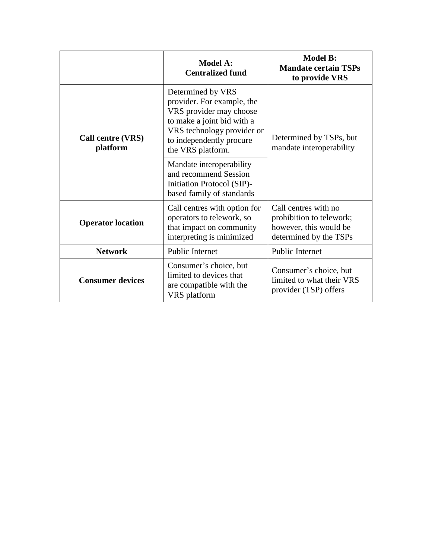|                               | <b>Model A:</b><br><b>Centralized fund</b>                                                                                                                                              | <b>Model B:</b><br><b>Mandate certain TSPs</b><br>to provide VRS                                     |
|-------------------------------|-----------------------------------------------------------------------------------------------------------------------------------------------------------------------------------------|------------------------------------------------------------------------------------------------------|
| Call centre (VRS)<br>platform | Determined by VRS<br>provider. For example, the<br>VRS provider may choose<br>to make a joint bid with a<br>VRS technology provider or<br>to independently procure<br>the VRS platform. | Determined by TSPs, but<br>mandate interoperability                                                  |
|                               | Mandate interoperability<br>and recommend Session<br>Initiation Protocol (SIP)-<br>based family of standards                                                                            |                                                                                                      |
| <b>Operator location</b>      | Call centres with option for<br>operators to telework, so<br>that impact on community<br>interpreting is minimized                                                                      | Call centres with no<br>prohibition to telework;<br>however, this would be<br>determined by the TSPs |
| <b>Network</b>                | <b>Public Internet</b>                                                                                                                                                                  | Public Internet                                                                                      |
| <b>Consumer devices</b>       | Consumer's choice, but<br>limited to devices that<br>are compatible with the<br>VRS platform                                                                                            | Consumer's choice, but<br>limited to what their VRS<br>provider (TSP) offers                         |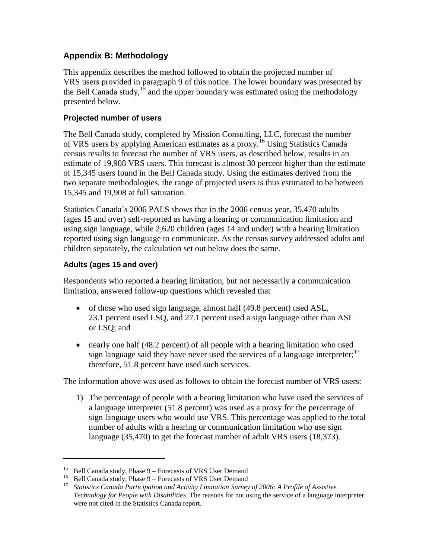# **Appendix B: Methodology**

This appendix describes the method followed to obtain the projected number of VRS users provided in paragraph 9 of this notice. The lower boundary was presented by the Bell Canada study,  $^{15}$  and the upper boundary was estimated using the methodology presented below.

#### **Projected number of users**

The Bell Canada study, completed by Mission Consulting, LLC, forecast the number of VRS users by applying American estimates as a proxy.<sup>16</sup> Using Statistics Canada census results to forecast the number of VRS users, as described below, results in an estimate of 19,908 VRS users. This forecast is almost 30 percent higher than the estimate of 15,345 users found in the Bell Canada study. Using the estimates derived from the two separate methodologies, the range of projected users is thus estimated to be between 15,345 and 19,908 at full saturation.

Statistics Canada's 2006 PALS shows that in the 2006 census year, 35,470 adults (ages 15 and over) self-reported as having a hearing or communication limitation and using sign language, while 2,620 children (ages 14 and under) with a hearing limitation reported using sign language to communicate. As the census survey addressed adults and children separately, the calculation set out below does the same.

#### **Adults (ages 15 and over)**

 $\overline{a}$ 

Respondents who reported a hearing limitation, but not necessarily a communication limitation, answered follow-up questions which revealed that

- of those who used sign language, almost half (49.8 percent) used ASL, 23.1 percent used LSQ, and 27.1 percent used a sign language other than ASL or LSQ; and
- nearly one half (48.2 percent) of all people with a hearing limitation who used sign language said they have never used the services of a language interpreter; $17$ therefore, 51.8 percent have used such services.

The information above was used as follows to obtain the forecast number of VRS users:

1) The percentage of people with a hearing limitation who have used the services of a language interpreter (51.8 percent) was used as a proxy for the percentage of sign language users who would use VRS. This percentage was applied to the total number of adults with a hearing or communication limitation who use sign language (35,470) to get the forecast number of adult VRS users (18,373).

<sup>&</sup>lt;sup>15</sup> Bell Canada study, Phase  $9 -$  Forecasts of VRS User Demand

<sup>&</sup>lt;sup>16</sup> Bell Canada study, Phase  $9$  – Forecasts of VRS User Demand

<sup>17</sup> *Statistics Canada Participation and Activity Limitation Survey of 2006: A Profile of Assistive Technology for People with Disabilities*. The reasons for not using the service of a language interpreter were not cited in the Statistics Canada report.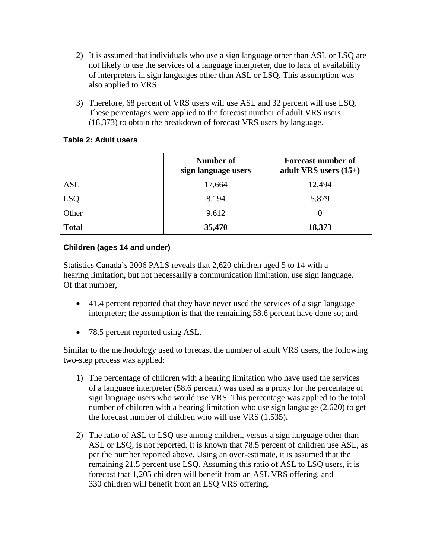- 2) It is assumed that individuals who use a sign language other than ASL or LSQ are not likely to use the services of a language interpreter, due to lack of availability of interpreters in sign languages other than ASL or LSQ. This assumption was also applied to VRS.
- 3) Therefore, 68 percent of VRS users will use ASL and 32 percent will use LSQ. These percentages were applied to the forecast number of adult VRS users (18,373) to obtain the breakdown of forecast VRS users by language.

#### **Table 2: Adult users**

|              | <b>Number of</b><br>sign language users | <b>Forecast number of</b><br>adult VRS users $(15+)$ |
|--------------|-----------------------------------------|------------------------------------------------------|
| <b>ASL</b>   | 17,664                                  | 12,494                                               |
| <b>LSQ</b>   | 8,194                                   | 5,879                                                |
| Other        | 9,612                                   | $\theta$                                             |
| <b>Total</b> | 35,470                                  | 18,373                                               |

#### **Children (ages 14 and under)**

Statistics Canada's 2006 PALS reveals that 2,620 children aged 5 to 14 with a hearing limitation, but not necessarily a communication limitation, use sign language. Of that number,

- 41.4 percent reported that they have never used the services of a sign language interpreter; the assumption is that the remaining 58.6 percent have done so; and
- 78.5 percent reported using ASL.

Similar to the methodology used to forecast the number of adult VRS users, the following two-step process was applied:

- 1) The percentage of children with a hearing limitation who have used the services of a language interpreter (58.6 percent) was used as a proxy for the percentage of sign language users who would use VRS. This percentage was applied to the total number of children with a hearing limitation who use sign language (2,620) to get the forecast number of children who will use VRS (1,535).
- 2) The ratio of ASL to LSQ use among children, versus a sign language other than ASL or LSQ, is not reported. It is known that 78.5 percent of children use ASL, as per the number reported above. Using an over-estimate, it is assumed that the remaining 21.5 percent use LSQ. Assuming this ratio of ASL to LSQ users, it is forecast that 1,205 children will benefit from an ASL VRS offering, and 330 children will benefit from an LSQ VRS offering.